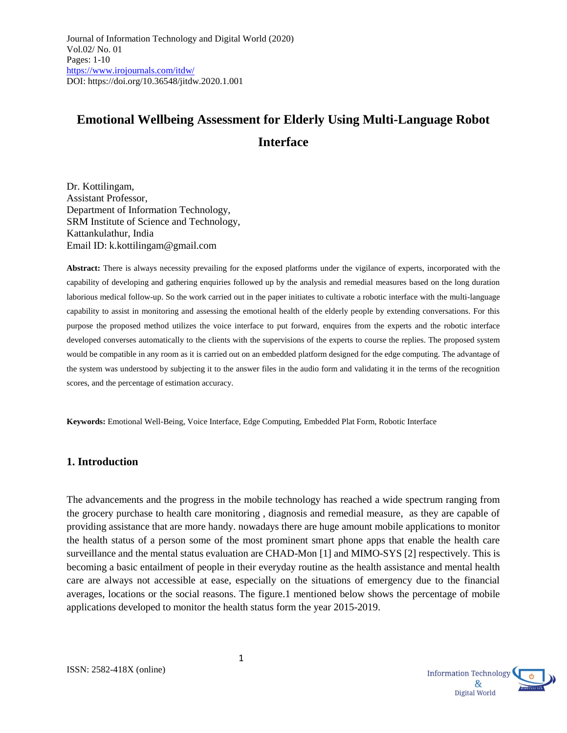# **Emotional Wellbeing Assessment for Elderly Using Multi-Language Robot Interface**

Dr. Kottilingam, Assistant Professor, Department of Information Technology, SRM Institute of Science and Technology, Kattankulathur, India Email ID: [k.kottilingam@gmail.com](mailto:k.kottilingam@gmail.com) 

**Abstract:** There is always necessity prevailing for the exposed platforms under the vigilance of experts, incorporated with the capability of developing and gathering enquiries followed up by the analysis and remedial measures based on the long duration laborious medical follow-up. So the work carried out in the paper initiates to cultivate a robotic interface with the multi-language capability to assist in monitoring and assessing the emotional health of the elderly people by extending conversations. For this purpose the proposed method utilizes the voice interface to put forward, enquires from the experts and the robotic interface developed converses automatically to the clients with the supervisions of the experts to course the replies. The proposed system would be compatible in any room as it is carried out on an embedded platform designed for the edge computing. The advantage of the system was understood by subjecting it to the answer files in the audio form and validating it in the terms of the recognition scores, and the percentage of estimation accuracy.

**Keywords:** Emotional Well-Being, Voice Interface, Edge Computing, Embedded Plat Form, Robotic Interface

#### **1. Introduction**

The advancements and the progress in the mobile technology has reached a wide spectrum ranging from the grocery purchase to health care monitoring , diagnosis and remedial measure, as they are capable of providing assistance that are more handy. nowadays there are huge amount mobile applications to monitor the health status of a person some of the most prominent smart phone apps that enable the health care surveillance and the mental status evaluation are CHAD-Mon [1] and MIMO-SYS [2] respectively. This is becoming a basic entailment of people in their everyday routine as the health assistance and mental health care are always not accessible at ease, especially on the situations of emergency due to the financial averages, locations or the social reasons. The figure.1 mentioned below shows the percentage of mobile applications developed to monitor the health status form the year 2015-2019.



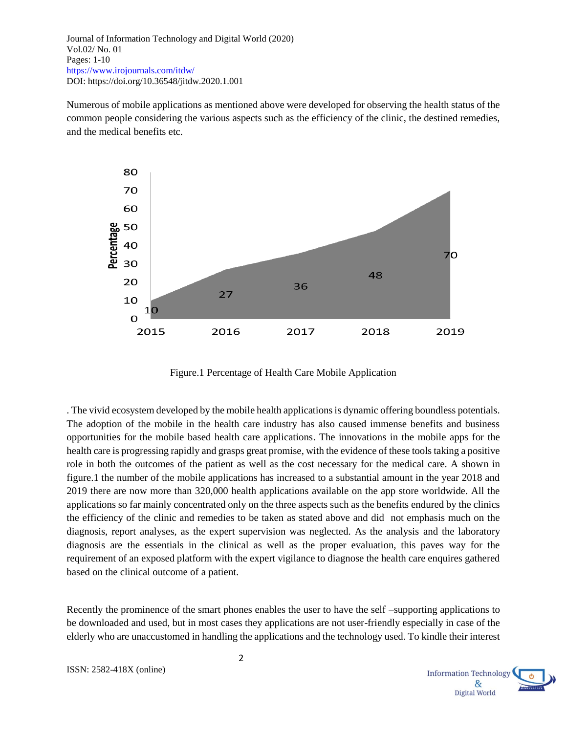Numerous of mobile applications as mentioned above were developed for observing the health status of the common people considering the various aspects such as the efficiency of the clinic, the destined remedies, and the medical benefits etc.



Figure.1 Percentage of Health Care Mobile Application

. The vivid ecosystem developed by the mobile health applications is dynamic offering boundless potentials. The adoption of the mobile in the health care industry has also caused immense benefits and business opportunities for the mobile based health care applications. The innovations in the mobile apps for the health care is progressing rapidly and grasps great promise, with the evidence of these tools taking a positive role in both the outcomes of the patient as well as the cost necessary for the medical care. A shown in figure.1 the number of the mobile applications has increased to a substantial amount in the year 2018 and 2019 there are now more than 320,000 health applications available on the app store worldwide. All the applications so far mainly concentrated only on the three aspects such as the benefits endured by the clinics the efficiency of the clinic and remedies to be taken as stated above and did not emphasis much on the diagnosis, report analyses, as the expert supervision was neglected. As the analysis and the laboratory diagnosis are the essentials in the clinical as well as the proper evaluation, this paves way for the requirement of an exposed platform with the expert vigilance to diagnose the health care enquires gathered based on the clinical outcome of a patient.

Recently the prominence of the smart phones enables the user to have the self –supporting applications to be downloaded and used, but in most cases they applications are not user-friendly especially in case of the elderly who are unaccustomed in handling the applications and the technology used. To kindle their interest

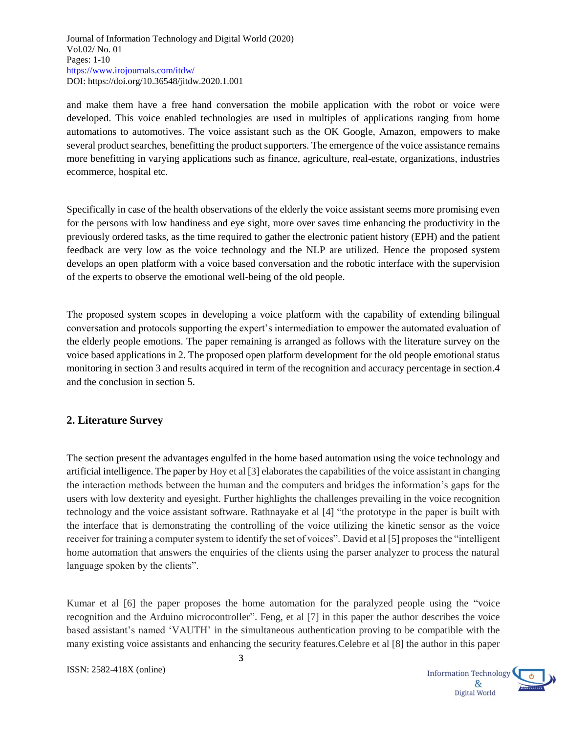and make them have a free hand conversation the mobile application with the robot or voice were developed. This voice enabled technologies are used in multiples of applications ranging from home automations to automotives. The voice assistant such as the OK Google, Amazon, empowers to make several product searches, benefitting the product supporters. The emergence of the voice assistance remains more benefitting in varying applications such as finance, agriculture, real-estate, organizations, industries ecommerce, hospital etc.

Specifically in case of the health observations of the elderly the voice assistant seems more promising even for the persons with low handiness and eye sight, more over saves time enhancing the productivity in the previously ordered tasks, as the time required to gather the electronic patient history (EPH) and the patient feedback are very low as the voice technology and the NLP are utilized. Hence the proposed system develops an open platform with a voice based conversation and the robotic interface with the supervision of the experts to observe the emotional well-being of the old people.

The proposed system scopes in developing a voice platform with the capability of extending bilingual conversation and protocols supporting the expert's intermediation to empower the automated evaluation of the elderly people emotions. The paper remaining is arranged as follows with the literature survey on the voice based applications in 2. The proposed open platform development for the old people emotional status monitoring in section 3 and results acquired in term of the recognition and accuracy percentage in section.4 and the conclusion in section 5.

## **2. Literature Survey**

The section present the advantages engulfed in the home based automation using the voice technology and artificial intelligence. The paper by Hoy et al [3] elaborates the capabilities of the voice assistant in changing the interaction methods between the human and the computers and bridges the information's gaps for the users with low dexterity and eyesight. Further highlights the challenges prevailing in the voice recognition technology and the voice assistant software. Rathnayake et al [4] "the prototype in the paper is built with the interface that is demonstrating the controlling of the voice utilizing the kinetic sensor as the voice receiver for training a computer system to identify the set of voices". David et al [5] proposes the "intelligent home automation that answers the enquiries of the clients using the parser analyzer to process the natural language spoken by the clients".

Kumar et al [6] the paper proposes the home automation for the paralyzed people using the "voice recognition and the Arduino microcontroller". Feng, et al [7] in this paper the author describes the voice based assistant's named 'VAUTH' in the simultaneous authentication proving to be compatible with the many existing voice assistants and enhancing the security features.Celebre et al [8] the author in this paper

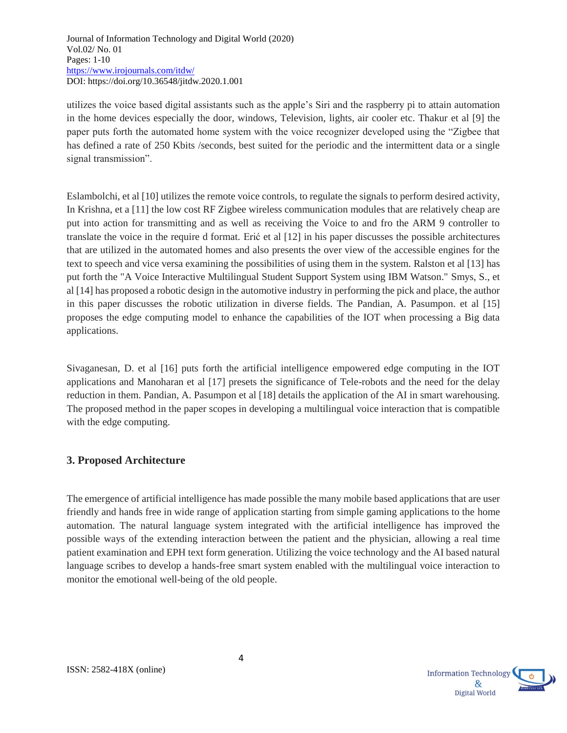utilizes the voice based digital assistants such as the apple's Siri and the raspberry pi to attain automation in the home devices especially the door, windows, Television, lights, air cooler etc. Thakur et al [9] the paper puts forth the automated home system with the voice recognizer developed using the "Zigbee that has defined a rate of 250 Kbits /seconds, best suited for the periodic and the intermittent data or a single signal transmission".

Eslambolchi, et al [10] utilizes the remote voice controls, to regulate the signals to perform desired activity, In Krishna, et a [11] the low cost RF Zigbee wireless communication modules that are relatively cheap are put into action for transmitting and as well as receiving the Voice to and fro the ARM 9 controller to translate the voice in the require d format. Erić et al [12] in his paper discusses the possible architectures that are utilized in the automated homes and also presents the over view of the accessible engines for the text to speech and vice versa examining the possibilities of using them in the system. Ralston et al [13] has put forth the "A Voice Interactive Multilingual Student Support System using IBM Watson." Smys, S., et al [14] has proposed a robotic design in the automotive industry in performing the pick and place, the author in this paper discusses the robotic utilization in diverse fields. The Pandian, A. Pasumpon. et al [15] proposes the edge computing model to enhance the capabilities of the IOT when processing a Big data applications.

Sivaganesan, D. et al [16] puts forth the artificial intelligence empowered edge computing in the IOT applications and Manoharan et al [17] presets the significance of Tele-robots and the need for the delay reduction in them. Pandian, A. Pasumpon et al [18] details the application of the AI in smart warehousing. The proposed method in the paper scopes in developing a multilingual voice interaction that is compatible with the edge computing.

## **3. Proposed Architecture**

The emergence of artificial intelligence has made possible the many mobile based applications that are user friendly and hands free in wide range of application starting from simple gaming applications to the home automation. The natural language system integrated with the artificial intelligence has improved the possible ways of the extending interaction between the patient and the physician, allowing a real time patient examination and EPH text form generation. Utilizing the voice technology and the AI based natural language scribes to develop a hands-free smart system enabled with the multilingual voice interaction to monitor the emotional well-being of the old people.

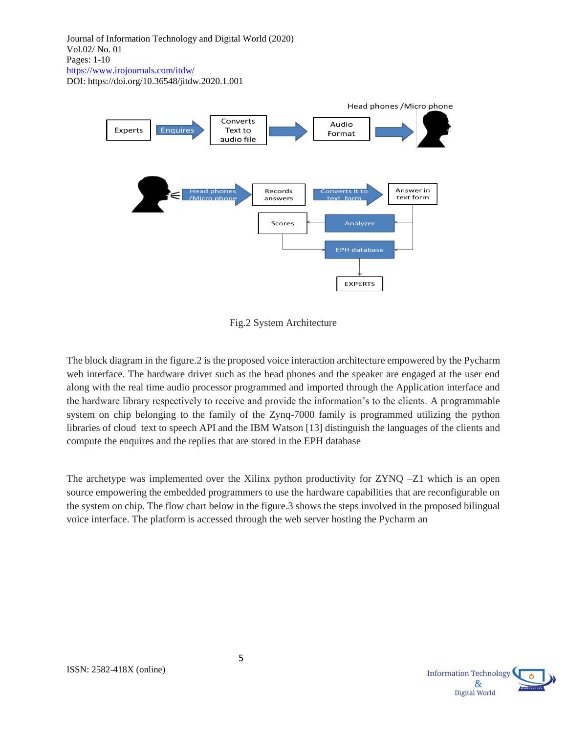

Fig.2 System Architecture

The block diagram in the figure.2 is the proposed voice interaction architecture empowered by the Pycharm web interface. The hardware driver such as the head phones and the speaker are engaged at the user end along with the real time audio processor programmed and imported through the Application interface and the hardware library respectively to receive and provide the information's to the clients. A programmable system on chip belonging to the family of the Zynq-7000 family is programmed utilizing the python libraries of cloud text to speech API and the IBM Watson [13] distinguish the languages of the clients and compute the enquires and the replies that are stored in the EPH database

The archetype was implemented over the Xilinx python productivity for  $ZYNO - Z1$  which is an open source empowering the embedded programmers to use the hardware capabilities that are reconfigurable on the system on chip. The flow chart below in the figure.3 shows the steps involved in the proposed bilingual voice interface. The platform is accessed through the web server hosting the Pycharm an

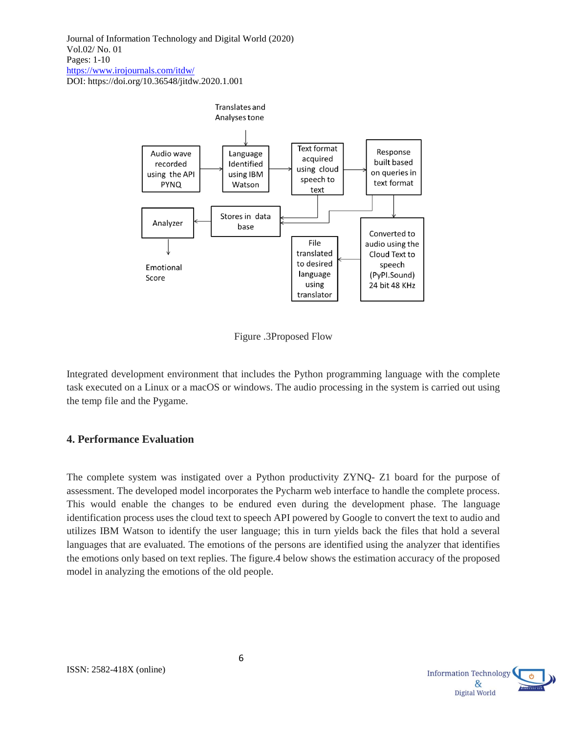

Figure .3Proposed Flow

Integrated development environment that includes the Python programming language with the complete task executed on a Linux or a macOS or windows. The audio processing in the system is carried out using the temp file and the Pygame.

#### **4. Performance Evaluation**

The complete system was instigated over a Python productivity ZYNQ- Z1 board for the purpose of assessment. The developed model incorporates the Pycharm web interface to handle the complete process. This would enable the changes to be endured even during the development phase. The language identification process uses the cloud text to speech API powered by Google to convert the text to audio and utilizes IBM Watson to identify the user language; this in turn yields back the files that hold a several languages that are evaluated. The emotions of the persons are identified using the analyzer that identifies the emotions only based on text replies. The figure.4 below shows the estimation accuracy of the proposed model in analyzing the emotions of the old people.

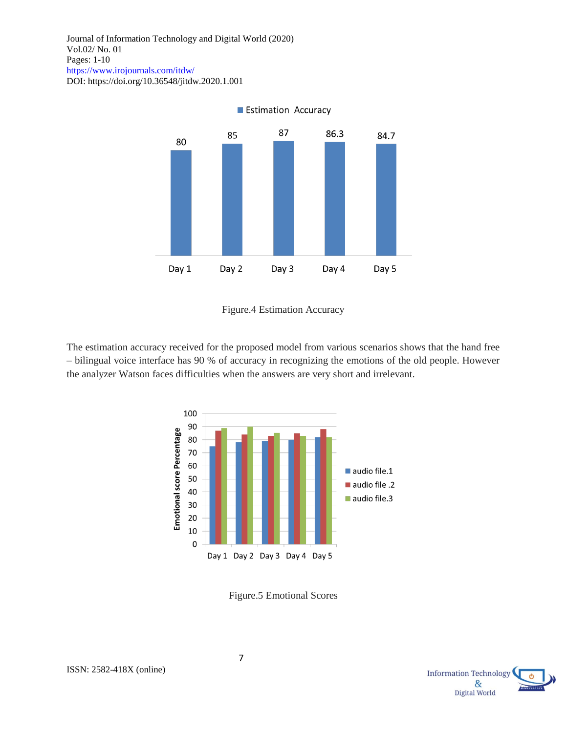

Figure.4 Estimation Accuracy

The estimation accuracy received for the proposed model from various scenarios shows that the hand free – bilingual voice interface has 90 % of accuracy in recognizing the emotions of the old people. However the analyzer Watson faces difficulties when the answers are very short and irrelevant.



Figure.5 Emotional Scores

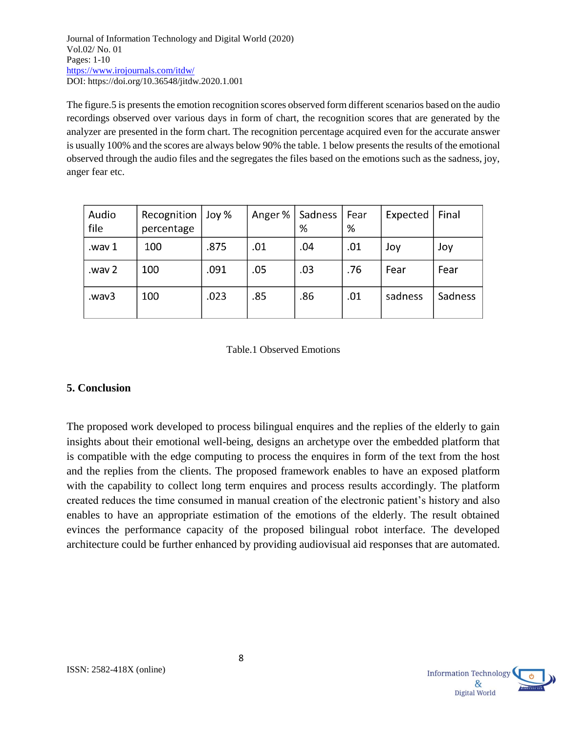The figure.5 is presents the emotion recognition scores observed form different scenarios based on the audio recordings observed over various days in form of chart, the recognition scores that are generated by the analyzer are presented in the form chart. The recognition percentage acquired even for the accurate answer is usually 100% and the scores are always below 90% the table. 1 below presents the results of the emotional observed through the audio files and the segregates the files based on the emotions such as the sadness, joy, anger fear etc.

| Audio<br>file | Recognition<br>percentage | Joy % | Anger % | Sadness<br>% | Fear<br>% | Expected | Final   |
|---------------|---------------------------|-------|---------|--------------|-----------|----------|---------|
| wav 1.        | 100                       | .875  | .01     | .04          | .01       | Joy      | Joy     |
| way 2         | 100                       | .091  | .05     | .03          | .76       | Fear     | Fear    |
| wav3.         | 100                       | .023  | .85     | .86          | .01       | sadness  | Sadness |

#### Table.1 Observed Emotions

## **5. Conclusion**

The proposed work developed to process bilingual enquires and the replies of the elderly to gain insights about their emotional well-being, designs an archetype over the embedded platform that is compatible with the edge computing to process the enquires in form of the text from the host and the replies from the clients. The proposed framework enables to have an exposed platform with the capability to collect long term enquires and process results accordingly. The platform created reduces the time consumed in manual creation of the electronic patient's history and also enables to have an appropriate estimation of the emotions of the elderly. The result obtained evinces the performance capacity of the proposed bilingual robot interface. The developed architecture could be further enhanced by providing audiovisual aid responses that are automated.

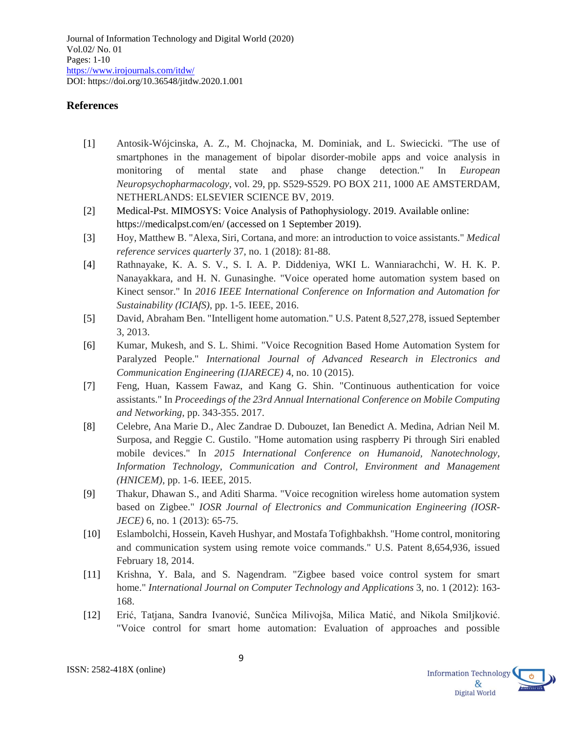### **References**

- [1] Antosik-Wójcinska, A. Z., M. Chojnacka, M. Dominiak, and L. Swiecicki. "The use of smartphones in the management of bipolar disorder-mobile apps and voice analysis in monitoring of mental state and phase change detection." In *European Neuropsychopharmacology*, vol. 29, pp. S529-S529. PO BOX 211, 1000 AE AMSTERDAM, NETHERLANDS: ELSEVIER SCIENCE BV, 2019.
- [2] Medical-Pst. MIMOSYS: Voice Analysis of Pathophysiology. 2019. Available online: https://medicalpst.com/en/ (accessed on 1 September 2019).
- [3] Hoy, Matthew B. "Alexa, Siri, Cortana, and more: an introduction to voice assistants." *Medical reference services quarterly* 37, no. 1 (2018): 81-88.
- [4] Rathnayake, K. A. S. V., S. I. A. P. Diddeniya, WKI L. Wanniarachchi, W. H. K. P. Nanayakkara, and H. N. Gunasinghe. "Voice operated home automation system based on Kinect sensor." In *2016 IEEE International Conference on Information and Automation for Sustainability (ICIAfS)*, pp. 1-5. IEEE, 2016.
- [5] David, Abraham Ben. "Intelligent home automation." U.S. Patent 8,527,278, issued September 3, 2013.
- [6] Kumar, Mukesh, and S. L. Shimi. "Voice Recognition Based Home Automation System for Paralyzed People." *International Journal of Advanced Research in Electronics and Communication Engineering (IJARECE)* 4, no. 10 (2015).
- [7] Feng, Huan, Kassem Fawaz, and Kang G. Shin. "Continuous authentication for voice assistants." In *Proceedings of the 23rd Annual International Conference on Mobile Computing and Networking*, pp. 343-355. 2017.
- [8] Celebre, Ana Marie D., Alec Zandrae D. Dubouzet, Ian Benedict A. Medina, Adrian Neil M. Surposa, and Reggie C. Gustilo. "Home automation using raspberry Pi through Siri enabled mobile devices." In *2015 International Conference on Humanoid, Nanotechnology, Information Technology, Communication and Control, Environment and Management (HNICEM)*, pp. 1-6. IEEE, 2015.
- [9] Thakur, Dhawan S., and Aditi Sharma. "Voice recognition wireless home automation system based on Zigbee." *IOSR Journal of Electronics and Communication Engineering (IOSR-JECE*) 6, no. 1 (2013): 65-75.
- [10] Eslambolchi, Hossein, Kaveh Hushyar, and Mostafa Tofighbakhsh. "Home control, monitoring and communication system using remote voice commands." U.S. Patent 8,654,936, issued February 18, 2014.
- [11] Krishna, Y. Bala, and S. Nagendram. "Zigbee based voice control system for smart home." *International Journal on Computer Technology and Applications* 3, no. 1 (2012): 163- 168.
- [12] Erić, Tatjana, Sandra Ivanović, Sunčica Milivojša, Milica Matić, and Nikola Smiljković. "Voice control for smart home automation: Evaluation of approaches and possible